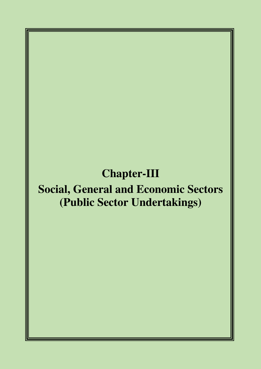## **Chapter-III**

# **Social, General and Economic Sectors (Public Sector Undertakings)**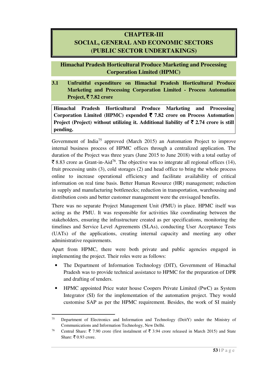## **CHAPTER-III SOCIAL, GENERAL AND ECONOMIC SECTORS (PUBLIC SECTOR UNDERTAKINGS)**

**Himachal Pradesh Horticultural Produce Marketing and Processing Corporation Limited (HPMC)** 

**3.1 Unfruitful expenditure on Himachal Pradesh Horticultural Produce Marketing and Processing Corporation Limited - Process Automation Project,** ` **7.82 crore** 

**Himachal Pradesh Horticultural Produce Marketing and Processing Corporation Limited (HPMC) expended** ` **7.82 crore on Process Automation Project (Project) without utilizing it. Additional liability of**  $\bar{\tau}$  **2.74 crore is still pending.**

Government of India<sup>75</sup> approved (March 2015) an Automation Project to improve internal business process of HPMC offices through a centralized application. The duration of the Project was three years (June 2015 to June 2018) with a total outlay of  $\bar{\xi}$  8.83 crore as Grant-in-Aid<sup>76</sup>. The objective was to integrate all regional offices (14), fruit processing units (3), cold storages (2) and head office to bring the whole process online to increase operational efficiency and facilitate availability of critical information on real time basis. Better Human Resource (HR) management; reduction in supply and manufacturing bottlenecks; reduction in transportation, warehousing and distribution costs and better customer management were the envisaged benefits.

There was no separate Project Management Unit (PMU) in place. HPMC itself was acting as the PMU. It was responsible for activities like coordinating between the stakeholders, ensuring the infrastructure created as per specifications, monitoring the timelines and Service Level Agreements (SLAs), conducting User Acceptance Tests (UATs) of the applications, creating internal capacity and meeting any other administrative requirements.

Apart from HPMC, there were both private and public agencies engaged in implementing the project. Their roles were as follows:

- The Department of Information Technology (DIT), Government of Himachal Pradesh was to provide technical assistance to HPMC for the preparation of DPR and drafting of tenders.
- HPMC appointed Price water house Coopers Private Limited (PwC) as System Integrator (SI) for the implementation of the automation project. They would customise SAP as per the HPMC requirement. Besides, the work of SI mainly

<sup>&</sup>lt;sup>75</sup> Department of Electronics and Information and Technology (DeitY) under the Ministry of Communications and Information Technology, New Delhi.

<sup>76</sup> Central Share:  $\bar{\tau}$  7.90 crore (first instalment of  $\bar{\tau}$  3.94 crore released in March 2015) and State Share:  $\bar{x}$  0.93 crore.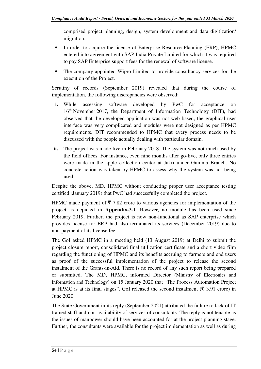comprised project planning, design, system development and data digitization/ migration.

- In order to acquire the license of Enterprise Resource Planning (ERP), HPMC entered into agreement with SAP India Private Limited for which it was required to pay SAP Enterprise support fees for the renewal of software license.
- The company appointed Wipro Limited to provide consultancy services for the execution of the Project.

Scrutiny of records (September 2019) revealed that during the course of implementation, the following discrepancies were observed:

- **i.** While assessing software developed by PwC for acceptance on 16<sup>th</sup> November 2017, the Department of Information Technology (DIT), had observed that the developed application was not web based, the graphical user interface was very complicated and modules were not designed as per HPMC requirements. DIT recommended to HPMC that every process needs to be discussed with the people actually dealing with particular domain.
- **ii.** The project was made live in February 2018. The system was not much used by the field offices. For instance, even nine months after go-live, only three entries were made in the apple collection center at Jakri under Gumma Branch. No concrete action was taken by HPMC to assess why the system was not being used.

Despite the above, MD, HPMC without conducting proper user acceptance testing certified (January 2019) that PwC had successfully completed the project.

HPMC made payment of  $\bar{\tau}$  7.82 crore to various agencies for implementation of the project as depicted in **Appendix-3.1**. However, no module has been used since February 2019. Further, the project is now non-functional as SAP enterprise which provides license for ERP had also terminated its services (December 2019) due to non-payment of its license fee.

The GoI asked HPMC in a meeting held (13 August 2019) at Delhi to submit the project closure report, consolidated final utilization certificate and a short video film regarding the functioning of HPMC and its benefits accruing to farmers and end users as proof of the successful implementation of the project to release the second instalment of the Grants-in-Aid. There is no record of any such report being prepared or submitted. The MD, HPMC, informed Director (Ministry of Electronics and Information and Technology) on 15 January 2020 that "The Process Automation Project at HPMC is at its final stages". GoI released the second instalment ( $\bar{\tau}$  3.91 crore) in June 2020.

The State Government in its reply (September 2021) attributed the failure to lack of IT trained staff and non-availability of services of consultants. The reply is not tenable as the issues of manpower should have been accounted for at the project planning stage. Further, the consultants were available for the project implementation as well as during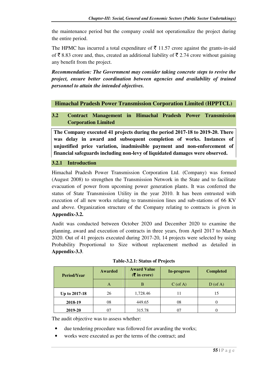the maintenance period but the company could not operationalize the project during the entire period.

The HPMC has incurred a total expenditure of  $\bar{\tau}$  11.57 crore against the grants-in-aid of  $\bar{\xi}$  8.83 crore and, thus, created an additional liability of  $\bar{\xi}$  2.74 crore without gaining any benefit from the project.

*Recommendation: The Government may consider taking concrete steps to revive the project, ensure better coordination between agencies and availability of trained personnel to attain the intended objectives.* 

## **Himachal Pradesh Power Transmission Corporation Limited (HPPTCL)**

## **3.2 Contract Management in Himachal Pradesh Power Transmission Corporation Limited**

**The Company executed 41 projects during the period 2017-18 to 2019-20. There was delay in award and subsequent completion of works. Instances of unjustified price variation, inadmissible payment and non-enforcement of financial safeguards including non-levy of liquidated damages were observed.** 

#### **3.2.1 Introduction**

Himachal Pradesh Power Transmission Corporation Ltd. (Company) was formed (August 2008) to strengthen the Transmission Network in the State and to facilitate evacuation of power from upcoming power generation plants. It was conferred the status of State Transmission Utility in the year 2010. It has been entrusted with execution of all new works relating to transmission lines and sub-stations of 66 KV and above. Organization structure of the Company relating to contracts is given in **Appendix-3.2.** 

Audit was conducted between October 2020 and December 2020 to examine the planning, award and execution of contracts in three years, from April 2017 to March 2020. Out of 41 projects executed during 2017-20, 14 projects were selected by using Probability Proportional to Size without replacement method as detailed in **Appendix-3.3**.

| <b>Period/Year</b>      | Awarded | <b>Award Value</b><br>In-progress<br>$(\overline{\mathbf{\overline{z}}}$ in crore) |            | <b>Completed</b> |
|-------------------------|---------|------------------------------------------------------------------------------------|------------|------------------|
|                         | A       | B                                                                                  | $C$ (of A) | $D$ (of A)       |
| Up to 2017-18           | 26      | 1,728.46                                                                           |            | 15               |
| 449.65<br>08<br>2018-19 |         |                                                                                    | 08         |                  |
| 2019-20                 |         | 315.78                                                                             |            |                  |

| Table-3.2.1: Status of Projects |  |
|---------------------------------|--|
|                                 |  |

The audit objective was to assess whether:

- due tendering procedure was followed for awarding the works:
- works were executed as per the terms of the contract; and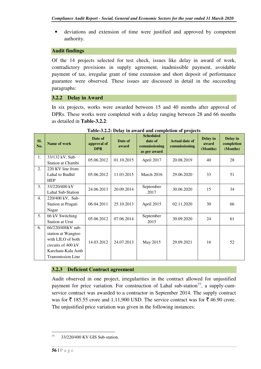• deviations and extension of time were justified and approved by competent authority.

#### **Audit findings**

Of the 14 projects selected for test check, issues like delay in award of work, contradictory provisions in supply agreement, inadmissible payment, avoidable payment of tax, irregular grant of time extension and short deposit of performance guarantee were observed. These issues are discussed in detail in the succeeding paragraphs:

#### **3.2.2 Delay in Award**

In six projects, works were awarded between 15 and 40 months after approval of DPRs. These works were completed with a delay ranging between 28 and 66 months as detailed in **Table-3.2.2**:

| Sl.<br>No.       | Name of work                                                                                                                       | Date of<br>approval of<br><b>DPR</b> | Date of<br>award | <b>Scheduled</b><br>date of<br>commissioning<br>as per award | <b>Actual date of</b><br>commissioning | Delay in<br>award<br>(Months) | Delay in<br>completion<br>(Months) |
|------------------|------------------------------------------------------------------------------------------------------------------------------------|--------------------------------------|------------------|--------------------------------------------------------------|----------------------------------------|-------------------------------|------------------------------------|
| 1.               | 33/132 kV, Sub-<br>Station at Chambi                                                                                               | 05.06.2012                           | 01.10.2015       | April 2017                                                   | 20.08.2019                             | 40                            | 28                                 |
| 2.               | 220 KV line from<br>Lahal to Budhil<br><b>HEP</b>                                                                                  | 05.06.2012                           | 11.03.2015       | March 2016                                                   | 29.06.2020                             | 33                            | 51                                 |
| 3.               | 33/220/400 kV<br>Lahal Sub-Station                                                                                                 | 24.06.2013                           | 20.09.2014       | September<br>2017                                            | 30.06.2020                             | 15                            | 34                                 |
| $\overline{4}$ . | 220/400 kV, Sub-<br>Station at Pragati<br>Nagar                                                                                    | 06.04.2011                           | 25.10.2013       | April 2015                                                   | 02.11.2020                             | 30                            | 66                                 |
| 5.               | 66 kV Switching<br>Station at Urni                                                                                                 | 05.06.2012                           | 07.06.2014       | September<br>2015                                            | 30.09.2020                             | 24                            | 61                                 |
| 6.               | 66/220/400kV sub-<br>station at Wangtoo<br>with LILO of both<br>circuits of 400 kV<br>Karcham-Kala Amb<br><b>Transmission Line</b> | 14.03.2012                           | 24.07.2013       | May 2015                                                     | 29.09.2021                             | 16                            | 52                                 |

#### **Table-3.2.2: Delay in award and completion of projects**

#### **3.2.3 Deficient Contract agreement**

Audit observed in one project, irregularities in the contract allowed for unjustified payment for price variation. For construction of Lahal sub-station<sup>77</sup>, a supply-cumservice contract was awarded to a contractor in September 2014. The supply contract was for  $\bar{\mathfrak{c}}$  185.55 crore and 1,11,900 USD. The service contract was for  $\bar{\mathfrak{c}}$  46.90 crore. The unjustified price variation was given in the following instances:

 $\overline{a}$ 

<sup>77</sup> 33/220/400 KV GIS Sub-station.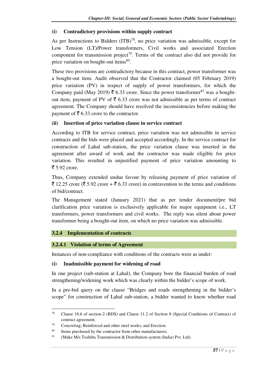### **(i) Contradictory provisions within supply contract**

As per Instructions to Bidders  $(ITB)^{78}$ , no price variation was admissible, except for Low Tension (LT)/Power transformers, Civil works and associated Erection component for transmission project<sup>79</sup>. Terms of the contract also did not provide for price variation on bought-out items<sup>80</sup>.

These two provisions are contradictory because in this contract, power transformer was a bought-out item. Audit observed that the Contractor claimed (05 February 2019) price variation (PV) in respect of supply of power transformers, for which the Company paid (May 2019)  $\bar{\tau}$  6.33 crore. Since the power transformer<sup>81</sup> was a boughtout item, payment of PV of  $\bar{\tau}$  6.33 crore was not admissible as per terms of contract agreement. The Company should have resolved the inconsistencies before making the payment of  $\bar{\bar{\xi}}$  6.33 crore to the contractor.

#### **(ii) Insertion of price variation clause in service contract**

According to ITB for service contract*,* price variation was not admissible in service contracts and the bids were placed and accepted accordingly. In the service contract for construction of Lahal sub-station, the price variation clause was inserted in the agreement after award of work and the contractor was made eligible for price variation. This resulted in unjustified payment of price variation amounting to  $\bar{z}$  5.92 crore.

Thus, Company extended undue favour by releasing payment of price variation of  $\bar{\xi}$  12.25 crore ( $\bar{\xi}$  5.92 crore +  $\bar{\xi}$  6.33 crore) in contravention to the terms and conditions of bid/contract.

The Management stated (January 2021) that as per tender document/pre bid clarification price variation is exclusively applicable for major equipment i.e., LT transformers, power transformers and civil works. The reply was silent about power transformer being a bought-out item, on which no price variation was admissible.

#### **3.2.4 Implementation of contracts**

l

#### **3.2.4.1 Violation of terms of Agreement**

Instances of non-compliance with conditions of the contracts were as under:

#### **(i) Inadmissible payment for widening of road**

In one project (sub-station at Lahal), the Company bore the financial burden of road strengthening/widening work which was clearly within the bidder's scope of work.

In a pre-bid query on the clause "Bridges and roads strengthening in the bidder's scope" for construction of Lahal sub-station, a bidder wanted to know whether road

<sup>78</sup> Clause 18.6 of section-2 (BDS) and Clause 11.2 of Section 8 (Special Conditions of Contract) of contract agreement.

<sup>79</sup> Concreting; Reinforced and other steel works; and Erection.

<sup>&</sup>lt;sup>80</sup> Items purchased by the contractor from other manufacturers.

<sup>&</sup>lt;sup>81</sup> (Make M/s Toshiba Transmission & Distribution system (India) Pvt. Ltd).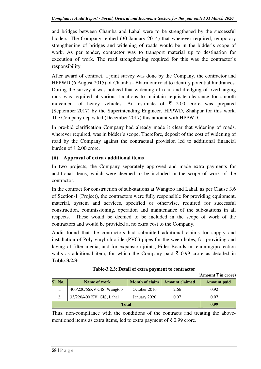and bridges between Chamba and Lahal were to be strengthened by the successful bidders. The Company replied (30 January 2014) that wherever required, temporary strengthening of bridges and widening of roads would be in the bidder's scope of work. As per tender, contractor was to transport material up to destination for execution of work. The road strengthening required for this was the contractor's responsibility.

After award of contract, a joint survey was done by the Company, the contractor and HPPWD (6 August 2015) of Chamba - Bharmour road to identify potential hindrances. During the survey it was noticed that widening of road and dredging of overhanging rock was required at various locations to maintain requisite clearance for smooth movement of heavy vehicles. An estimate of  $\bar{\tau}$  2.00 crore was prepared (September 2017) by the Superintending Engineer, HPPWD, Shahpur for this work. The Company deposited (December 2017) this amount with HPPWD.

In pre-bid clarification Company had already made it clear that widening of roads, wherever required, was in bidder's scope. Therefore, deposit of the cost of widening of road by the Company against the contractual provision led to additional financial burden of  $\bar{\mathfrak{c}}$  2.00 crore.

### **(ii) Approval of extra / additional items**

In two projects, the Company separately approved and made extra payments for additional items, which were deemed to be included in the scope of work of the contractor.

In the contract for construction of sub-stations at Wangtoo and Lahal, as per Clause 3.6 of Section-1 (Project), the contractors were fully responsible for providing equipment, material, system and services, specified or otherwise, required for successful construction, commissioning, operation and maintenance of the sub-stations in all respects. These would be deemed to be included in the scope of work of the contractors and would be provided at no extra cost to the Company.

Audit found that the contractors had submitted additional claims for supply and installation of Poly vinyl chloride (PVC) pipes for the weep holes, for providing and laying of filter media, and for expansion joints, Filler Boards in retaining/protection walls as additional item, for which the Company paid  $\bar{\tau}$  0.99 crore as detailed in **Table-3.2.3**:

| Table-5.2.5. Detail of extra payment to contractor |                     |
|----------------------------------------------------|---------------------|
|                                                    | (Amount ₹ in crore) |

Table 2.2.3. Detail of extra payment to contract

| <b>Sl. No.</b> | Name of work                                      | <b>Month of claim</b> | <b>Amount claimed</b> | <b>Amount</b> paid |
|----------------|---------------------------------------------------|-----------------------|-----------------------|--------------------|
| 1.             | 400/220/66KV GIS, Wangtoo                         | October 2016          | 2.66                  | 0.92               |
|                | 33/220/400 KV, GIS, Lahal<br>January 2020<br>0.07 |                       |                       |                    |
|                | 0.99                                              |                       |                       |                    |

Thus, non-compliance with the conditions of the contracts and treating the abovementioned items as extra items, led to extra payment of  $\bar{\tau}$  0.99 crore.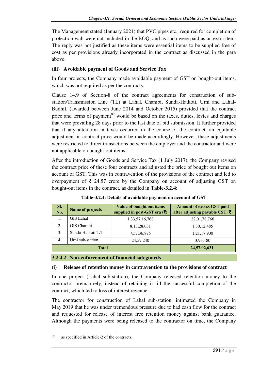The Management stated (January 2021) that PVC pipes etc., required for completion of protection wall were not included in the BOQ, and as such were paid as an extra item. The reply was not justified as these items were essential items to be supplied free of cost as per provisions already incorporated in the contract as discussed in the para above.

## **(iii) Avoidable payment of Goods and Service Tax**

In four projects, the Company made avoidable payment of GST on bought-out items, which was not required as per the contracts.

Clause 14.9 of Section-8 of the contract agreements for construction of substation/Transmission Line (TL) at Lahal, Chambi, Sunda-Hatkoti, Urni and Lahal-Budhil, (awarded between June 2014 and October 2015) provided that the contract price and terms of payment<sup>82</sup> would be based on the taxes, duties, levies and charges that were prevailing 28 days prior to the last date of bid submission. It further provided that if any alteration in taxes occurred in the course of the contract, an equitable adjustment in contract price would be made accordingly. However, these adjustments were restricted to direct transactions between the employer and the contractor and were not applicable on bought-out items.

After the introduction of Goods and Service Tax (1 July 2017), the Company revised the contract price of these four contracts and adjusted the price of bought out items on account of GST. This was in contravention of the provisions of the contract and led to overpayment of  $\bar{\tau}$  24.57 crore by the Company on account of adjusting GST on bought-out items in the contract, as detailed in **Table-3.2.4**:

| SI.<br>No.             | Name of projects  | <b>Value of bought out items</b><br>supplied in post-GST era $(\bar{\mathbf{\zeta}})$ | <b>Amount of excess GST paid</b><br>after adjusting payable CST (₹) |
|------------------------|-------------------|---------------------------------------------------------------------------------------|---------------------------------------------------------------------|
|                        | <b>GIS</b> Lahal  | 1, 33, 57, 16, 768                                                                    | 22,01,78,766                                                        |
| 2.                     | GIS Chambi        | 8,13,28,031                                                                           | 1,30,12,485                                                         |
| 3.                     | Sunda-Hatkoti T/L | 7,57,36,875                                                                           | 1,21,17,900                                                         |
| Urni sub-station<br>4. |                   | 24,59,240                                                                             | 3,93,480                                                            |
|                        | <b>Total</b>      | 24,57,02,631                                                                          |                                                                     |

**Table-3.2.4: Details of avoidable payment on account of GST**

#### **3.2.4.2 Non-enforcement of financial safeguards**

#### **(i) Release of retention money in contravention to the provisions of contract**

In one project (Lahal sub-station), the Company released retention money to the contractor prematurely, instead of retaining it till the successful completion of the contract, which led to loss of interest revenue.

The contractor for construction of Lahal sub-station, intimated the Company in May 2019 that he was under tremendous pressure due to bad cash flow for the contract and requested for release of interest free retention money against bank guarantee. Although the payments were being released to the contractor on time, the Company

 $\overline{a}$ 

<sup>82</sup> as specified in Article-2 of the contracts.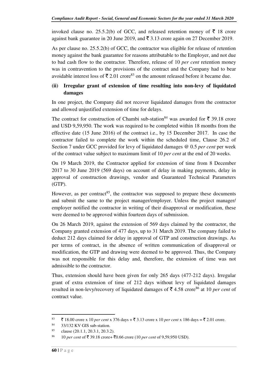invoked clause no. 25.5.2(b) of GCC, and released retention money of  $\bar{\tau}$  18 crore against bank guarantee in 20 June 2019, and  $\bar{\tau}$  3.13 crore again on 27 December 2019.

As per clause no. 25.5.2(b) of GCC, the contractor was eligible for release of retention money against the bank guarantee for reasons attributable to the Employer, and not due to bad cash flow to the contractor. Therefore, release of 10 *per cent* retention money was in contravention to the provisions of the contract and the Company had to bear avoidable interest loss of  $\bar{\mathfrak{g}} 2.01$  crore<sup>83</sup> on the amount released before it became due.

## **(ii) Irregular grant of extension of time resulting into non-levy of liquidated damages**

In one project, the Company did not recover liquidated damages from the contractor and allowed unjustified extension of time for delays.

The contract for construction of Chambi sub-station<sup>84</sup> was awarded for  $\bar{\tau}$  39.18 crore and USD 9,59,950. The work was required to be completed within 18 months from the effective date (15 June 2016) of the contract i.e., by 15 December 2017. In case the contractor failed to complete the work within the scheduled time, Clause 26.2 of Section 7 under GCC provided for levy of liquidated damages @ 0.5 *per cent* per week of the contract value subject to maximum limit of 10 *per cent* at the end of 20 weeks.

On 19 March 2019, the Contractor applied for extension of time from 8 December 2017 to 30 June 2019 (569 days) on account of delay in making payments, delay in approval of construction drawings, vendor and Guaranteed Technical Parameters (GTP).

However, as per contract<sup>85</sup>, the contractor was supposed to prepare these documents and submit the same to the project manager/employer. Unless the project manager/ employer notified the contractor in writing of their disapproval or modification, these were deemed to be approved within fourteen days of submission.

On 26 March 2019, against the extension of 569 days claimed by the contractor, the Company granted extension of 477 days, up to 31 March 2019. The company failed to deduct 212 days claimed for delay in approval of GTP and construction drawings. As per terms of contract, in the absence of written communication of disapproval or modification, the GTP and drawing were deemed to be approved. Thus, the Company was not responsible for this delay and, therefore, the extension of time was not admissible to the contractor.

Thus, extension should have been given for only 265 days (477-212 days). Irregular grant of extra extension of time of 212 days without levy of liquidated damages resulted in non-levy/recovery of liquidated damages of  $\bar{\tau}$  4.58 crore<sup>86</sup> at 10 *per cent* of contract value.

<sup>83</sup>  $\bar{\bar{\xi}}$  18.00 crore x 10 *per cent* x 376 days +  $\bar{\bar{\xi}}$  3.13 crore x 10 *per cent* x 186 days =  $\bar{\bar{\xi}}$  2.01 crore.

<sup>84</sup> 33/132 KV GIS sub-station.

<sup>85</sup> clause (20.1.1, 20.3.1, 20.3.2).

<sup>&</sup>lt;sup>86</sup> 10 *per cent* of ₹ 39.18 crore+ ₹0.66 crore (10 *per cent* of 9,59,950 USD).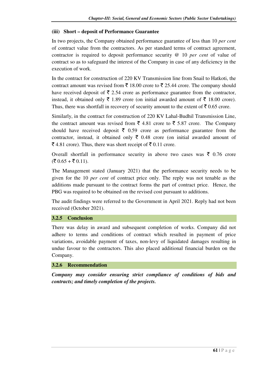#### **(iii) Short – deposit of Performance Guarantee**

In two projects, the Company obtained performance guarantee of less than 10 *per cent*  of contract value from the contractors. As per standard terms of contract agreement, contractor is required to deposit performance security @ 10 *per cent* of value of contract so as to safeguard the interest of the Company in case of any deficiency in the execution of work.

In the contract for construction of 220 KV Transmission line from Snail to Hatkoti, the contract amount was revised from  $\bar{\tau}$  18.00 crore to  $\bar{\tau}$  25.44 crore. The company should have received deposit of  $\bar{\tau}$  2.54 crore as performance guarantee from the contractor, instead, it obtained only  $\bar{\xi}$  1.89 crore (on initial awarded amount of  $\bar{\xi}$  18.00 crore). Thus, there was shortfall in recovery of security amount to the extent of  $\bar{\tau}$  0.65 crore.

Similarly, in the contract for construction of 220 KV Lahal-Budhil Transmission Line, the contract amount was revised from  $\bar{\xi}$  4.81 crore to  $\bar{\xi}$  5.87 crore. The Company should have received deposit  $\bar{\tau}$  0.59 crore as performance guarantee from the contractor, instead, it obtained only  $\bar{\tau}$  0.48 crore (on initial awarded amount of ₹ 4.81 crore). Thus, there was short receipt of  $\bar{\tau}$  0.11 crore.

Overall shortfall in performance security in above two cases was  $\bar{\tau}$  0.76 crore  $(\overline{\xi} 0.65 + \overline{\xi} 0.11).$ 

The Management stated (January 2021) that the performance security needs to be given for the 10 *per cent* of contract price only. The reply was not tenable as the additions made pursuant to the contract forms the part of contract price. Hence, the PBG was required to be obtained on the revised cost pursuant to additions.

The audit findings were referred to the Government in April 2021. Reply had not been received (October 2021).

## **3.2.5 Conclusion**

There was delay in award and subsequent completion of works. Company did not adhere to terms and conditions of contract which resulted in payment of price variations, avoidable payment of taxes, non-levy of liquidated damages resulting in undue favour to the contractors. This also placed additional financial burden on the Company.

#### **3.2.6 Recommendation**

*Company may consider ensuring strict compliance of conditions of bids and contracts; and timely completion of the projects.*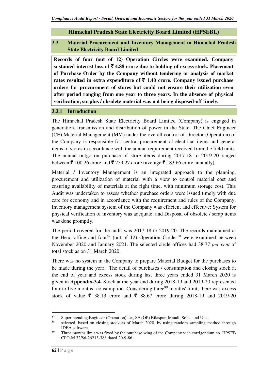## **Himachal Pradesh State Electricity Board Limited (HPSEBL)**

## **3.3 Material Procurement and Inventory Management in Himachal Pradesh State Electricity Board Limited**

**Records of four (out of 12) Operation Circles were examined. Company**  sustained interest loss of  $\bar{\tau}$  4.88 crore due to holding of excess stock. Placement **of Purchase Order by the Company without tendering or analysis of market**  rates resulted in extra expenditure of  $\bar{\tau}$  1.40 crore. Company issued purchase **orders for procurement of stores but could not ensure their utilization even after period ranging from one year to three years. In the absence of physical verification, surplus / obsolete material was not being disposed-off timely.** 

#### **3.3.1 Introduction**

The Himachal Pradesh State Electricity Board Limited (Company) is engaged in generation, transmission and distribution of power in the State. The Chief Engineer (CE) Material Management (MM) under the overall control of Director (Operation) of the Company is responsible for central procurement of electrical items and general items of stores in accordance with the annual requirement received from the field units. The annual outgo on purchase of store items during 2017-18 to 2019-20 ranged between  $\bar{\tau}$  100.26 crore and  $\bar{\tau}$  259.27 crore (average  $\bar{\tau}$  183.66 crore annually).

Material / Inventory Management is an integrated approach to the planning, procurement and utilization of material with a view to control material cost and ensuring availability of materials at the right time, with minimum storage cost. This Audit was undertaken to assess whether purchase orders were issued timely with due care for economy and in accordance with the requirement and rules of the Company; Inventory management system of the Company was efficient and effective; System for physical verification of inventory was adequate; and Disposal of obsolete / scrap items was done promptly.

The period covered for the audit was 2017-18 to 2019-20. The records maintained at the Head office and four<sup>87</sup> (out of 12) Operation Circles<sup>88</sup> were examined between November 2020 and January 2021. The selected circle offices had 38.77 *per cent* of total stock as on 31 March 2020.

There was no system in the Company to prepare Material Budget for the purchases to be made during the year. The detail of purchases / consumption and closing stock at the end of year and excess stock during last three years ended 31 March 2020 is given in **Appendix-3.4**. Stock at the year end during 2018-19 and 2019-20 represented four to five months' consumption. Considering three<sup>89</sup> months' limit, there was excess stock of value  $\bar{\xi}$  38.13 crore and  $\bar{\xi}$  88.67 crore during 2018-19 and 2019-20

<sup>87</sup> Superintending Engineer (Operation) i.e., SE (OP) Bilaspur, Mandi, Solan and Una.

selected, based on closing stock as of March 2020, by using random sampling method through IDEA software.

<sup>&</sup>lt;sup>89</sup> Three months limit was fixed by the purchase wing of the Company vide corrigendum no. HPSEB CPO-M 32/86-26213-388 dated 20-9-86.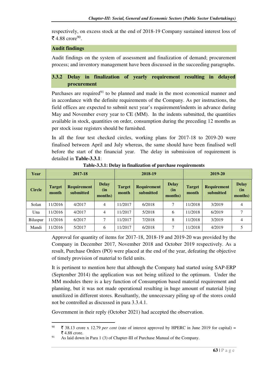respectively, on excess stock at the end of 2018-19 Company sustained interest loss of ₹ 4.88 crore<sup>90</sup>.

#### **Audit findings**

l

Audit findings on the system of assessment and finalization of demand; procurement process; and inventory management have been discussed in the succeeding paragraphs.

## **3.3.2 Delay in finalization of yearly requirement resulting in delayed procurement**

Purchases are required $91$  to be planned and made in the most economical manner and in accordance with the definite requirements of the Company. As per instructions, the field offices are expected to submit next year's requirement/indents in advance during May and November every year to CE (MM). In the indents submitted, the quantities available in stock, quantities on order, consumption during the preceding 12 months as per stock issue registers should be furnished.

In all the four test checked circles, working plans for 2017-18 to 2019-20 were finalised between April and July whereas, the same should have been finalised well before the start of the financial year. The delay in submission of requirement is detailed in **Table-3.3.1**:

| Year          | 2017-18                |                                 |                                | 2018-19                |                                 |                                | 2019-20                |                                 |                                 |
|---------------|------------------------|---------------------------------|--------------------------------|------------------------|---------------------------------|--------------------------------|------------------------|---------------------------------|---------------------------------|
| <b>Circle</b> | <b>Target</b><br>month | <b>Requirement</b><br>submitted | <b>Delay</b><br>(in<br>months) | <b>Target</b><br>month | <b>Requirement</b><br>submitted | <b>Delay</b><br>(in<br>months) | <b>Target</b><br>month | <b>Requirement</b><br>submitted | <b>Delay</b><br>(in)<br>months) |
| Solan         | 11/2016                | 4/2017                          | $\overline{4}$                 | 11/2017                | 6/2018                          | $\mathcal{I}$                  | 11/2018                | 3/2019                          | 4                               |
| Una           | 11/2016                | 4/2017                          | $\overline{4}$                 | 11/2017                | 5/2018                          | 6                              | 11/2018                | 6/2019                          | 7                               |
| Bilaspur      | 11/2016                | 6/2017                          | 7                              | 11/2017                | 7/2018                          | 8                              | 11/2018                | 3/2019                          | 4                               |
| Mandi         | 11/2016                | 5/2017                          | 6                              | 1/2017                 | 6/2018                          | $\mathcal{I}$                  | 11/2018                | 4/2019                          | 5                               |

**Table-3.3.1: Delay in finalization of purchase requirements** 

Approval for quantity of items for 2017-18, 2018-19 and 2019-20 was provided by the Company in December 2017, November 2018 and October 2019 respectively. As a result, Purchase Orders (PO) were placed at the end of the year, defeating the objective of timely provision of material to field units.

It is pertinent to mention here that although the Company had started using SAP-ERP (September 2014) the application was not being utilized to the optimum. Under the MM modules there is a key function of Consumption based material requirement and planning, but it was not made operational resulting in huge amount of material lying unutilized in different stores. Resultantly, the unnecessary piling up of the stores could not be controlled as discussed in para 3.3.4.1.

Government in their reply (October 2021) had accepted the observation.

<sup>&</sup>lt;sup>90</sup> ₹ 38.13 crore x 12.79 *per cent* (rate of interest approved by HPERC in June 2019 for capital) =  $\bar{\bar{\xi}}$  4.88 crore.

<sup>&</sup>lt;sup>91</sup> As laid down in Para 1 (3) of Chapter-III of Purchase Manual of the Company.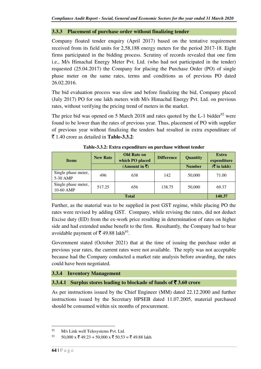#### **3.3.3 Placement of purchase order without finalizing tender**

Company floated tender enquiry (April 2017) based on the tentative requirement received from its field units for 2,58,188 energy meters for the period 2017-18. Eight firms participated in the bidding process. Scrutiny of records revealed that one firm i.e., M/s Himachal Energy Meter Pvt. Ltd. (who had not participated in the tender) requested (25.04.2017) the Company for placing the Purchase Order (PO) of single phase meter on the same rates, terms and conditions as of previous PO dated 26.02.2016.

The bid evaluation process was slow and before finalizing the bid, Company placed (July 2017) PO for one lakh meters with M/s Himachal Energy Pvt. Ltd. on previous rates, without verifying the pricing trend of meters in the market.

The price bid was opened on 5 March 2018 and rates quoted by the  $L-1$  bidder<sup>92</sup> were found to be lower than the rates of previous year. Thus, placement of PO with supplier of previous year without finalizing the tenders had resulted in extra expenditure of  $\bar{\xi}$  1.40 crore as detailed in **Table-3.3.2**:

| <b>Items</b>                     | <b>New Rate</b> | <b>Old Rate on</b><br>which PO placed<br>(Amount in ₹) | <b>Difference</b> | <b>Quantity</b><br><b>Number</b> | <b>Extra</b><br>expenditure<br>$($ ₹ in lakh $)$ |
|----------------------------------|-----------------|--------------------------------------------------------|-------------------|----------------------------------|--------------------------------------------------|
| Single phase meter,<br>5-30 AMP  | 496             | 638                                                    | 142               | 50,000                           | 71.00                                            |
| Single phase meter,<br>10-60 AMP | 517.25          | 656                                                    | 138.75            | 50,000                           | 69.37                                            |
| <b>Total</b>                     |                 |                                                        |                   |                                  |                                                  |

**Table-3.3.2: Extra expenditure on purchase without tender**

Further, as the material was to be supplied in post GST regime, while placing PO the rates were revised by adding GST. Company, while revising the rates, did not deduct Excise duty (ED) from the ex-work price resulting in determination of rates on higher side and had extended undue benefit to the firm. Resultantly, the Company had to bear avoidable payment of  $\bar{\mathfrak{F}}$  49.88 lakh<sup>93</sup>.

Government stated (October 2021) that at the time of issuing the purchase order at previous year rates, the current rates were not available. The reply was not acceptable because had the Company conducted a market rate analysis before awarding, the rates could have been negotiated.

## **3.3.4 Inventory Management**

## **3.3.4.1 Surplus stores leading to blockade of funds of** ` **3.60 crore**

As per instructions issued by the Chief Engineer (MM) dated 22.12.2000 and further instructions issued by the Secretary HPSEB dated 11.07.2005, material purchased should be consumed within six months of procurement.

<sup>&</sup>lt;sup>92</sup> M/s Link well Telesystems Pvt. Ltd.

 $^{93}$  50,000 x  $\overline{5}$  49.23 + 50,000 x  $\overline{5}$  50.53 =  $\overline{5}$  49.88 lakh.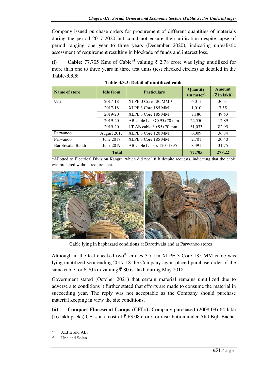Company issued purchase orders for procurement of different quantities of materials during the period 2017-2020 but could not ensure their utilisation despite lapse of period ranging one year to three years (December 2020), indicating unrealistic assessment of requirement resulting in blockade of funds and interest loss.

(i) **Cable:** 77.705 Kms of Cable<sup>94</sup> valuing  $\bar{\tau}$  2.78 crore was lying unutilized for more than one to three years in three test units (test checked circles) as detailed in the **Table-3.3.3**:

| <b>Name of store</b> | <b>Idle from</b> | <b>Particulars</b>                       | Quantity<br>(in meter) | <b>Amount</b><br>$(\overline{\mathbf{\overline{z}}}$ in lakh) |
|----------------------|------------------|------------------------------------------|------------------------|---------------------------------------------------------------|
| Una                  | 2017-18          | XLPE-3 Core 120 MM $*$                   | 6.011                  | 36.31                                                         |
|                      | 2017-18          | XLPE 3 Core 185 MM                       | 1,010                  | 7.55                                                          |
|                      | 2019-20          | XLPE 3 Core 185 MM                       | 7,186                  | 49.53                                                         |
|                      | 2019-20          | AB cable LT $3Cx95+70$ mm                | 22,550                 | 12.89                                                         |
|                      | 2019-20          | LT AB cable $3x95+70$ mm                 | 31,033                 | 82.95                                                         |
| Parwanoo             | August 2017      | XLPE 3 Core 120 MM                       | 6,009                  | 36.84                                                         |
| Parwanoo             | June 2017        | XLPE 3 Core 185 MM                       | 2,701                  | 20.40                                                         |
| Barotiwala, Baddi    | June 2019        | AB cable LT $3 \times 120 + 1 \times 95$ | 8,391                  | 31.75                                                         |
|                      | 77,705           | 278.22                                   |                        |                                                               |

|--|

\*Allotted to Electrical Division Kangra, which did not lift it despite requests, indicating that the cable was procured without requirement.



Cable lying in haphazard conditions at Barotiwala and at Parwanoo stores

Although in the test checked two<sup>95</sup> circles 3.7 km XLPE 3 Core 185 MM cable was lying unutilized year ending 2017-18 the Company again placed purchase order of the same cable for 6.70 km valuing  $\bar{\xi}$  80.61 lakh during May 2018.

Government stated (October 2021) that certain material remains unutilized due to adverse site conditions it further stated that efforts are made to consume the material in succeeding year. The reply was not acceptable as the Company should purchase material keeping in view the site conditions.

**(ii) Compact Florescent Lamps (CFLs):** Company purchased (2008-09) 64 lakh (16 lakh packs) CFLs at a cost of  $\overline{5}$  63.08 crore for distribution under Atal Bijli Bachat

 $94$  XLPE and AB.

<sup>&</sup>lt;sup>95</sup> Una and Solan.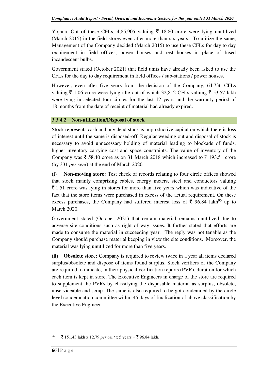Yojana. Out of these CFLs, 4,85,905 valuing  $\bar{\tau}$  18.80 crore were lying unutilized (March 2015) in the field stores even after more than six years. To utilize the same, Management of the Company decided (March 2015) to use these CFLs for day to day requirement in field offices, power houses and rest houses in place of fused incandescent bulbs.

Government stated (October 2021) that field units have already been asked to use the CFLs for the day to day requirement in field offices / sub-stations / power houses.

However, even after five years from the decision of the Company, 64,736 CFLs valuing  $\bar{\xi}$  1.06 crore were lying idle out of which 32,812 CFLs valuing  $\bar{\xi}$  53.57 lakh were lying in selected four circles for the last 12 years and the warranty period of 18 months from the date of receipt of material had already expired.

#### **3.3.4.2 Non-utilization/Disposal of stock**

Stock represents cash and any dead stock is unproductive capital on which there is loss of interest until the same is disposed-off. Regular weeding out and disposal of stock is necessary to avoid unnecessary holding of material leading to blockade of funds, higher inventory carrying cost and space constraints. The value of inventory of the Company was  $\bar{\tau}$  58.40 crore as on 31 March 2018 which increased to  $\bar{\tau}$  193.51 crore (by 331 *per cent*) at the end of March 2020*.* 

**(i) Non-moving store:** Test check of records relating to four circle offices showed that stock mainly comprising cables, energy meters, steel and conductors valuing  $\bar{\tau}$  1.51 crore was lying in stores for more than five years which was indicative of the fact that the store items were purchased in excess of the actual requirement. On these excess purchases, the Company had suffered interest loss of  $\bar{\tau}$  96.84 lakh<sup>96</sup> up to March 2020.

Government stated (October 2021) that certain material remains unutilized due to adverse site conditions such as right of way issues. It further stated that efforts are made to consume the material in succeeding year. The reply was not tenable as the Company should purchase material keeping in view the site conditions. Moreover, the material was lying unutilized for more than five years.

**(ii) Obsolete store:** Company is required to review twice in a year all items declared surplus/obsolete and dispose of items found surplus. Stock verifiers of the Company are required to indicate, in their physical verification reports (PVR), duration for which each item is kept in store. The Executive Engineers in charge of the store are required to supplement the PVRs by classifying the disposable material as surplus, obsolete, unserviceable and scrap. The same is also required to be got condemned by the circle level condemnation committee within 45 days of finalization of above classification by the Executive Engineer.

 $^{96}$   $\bar{\bar{\xi}}$  151.43 lakh x 12.79 *per cent* x 5 years =  $\bar{\xi}$  96.84 lakh.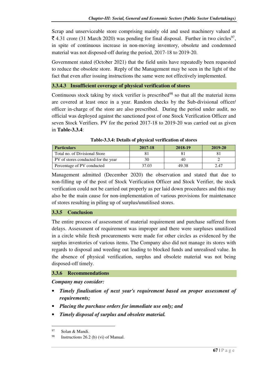Scrap and unserviceable store comprising mainly old and used machinery valued at ₹ 4.31 crore (31 March 2020) was pending for final disposal. Further in two circles<sup>97</sup>, in spite of continuous increase in non-moving inventory, obsolete and condemned material was not disposed-off during the period, 2017-18 to 2019-20.

Government stated (October 2021) that the field units have repeatedly been requested to reduce the obsolete store. Reply of the Management may be seen in the light of the fact that even after issuing instructions the same were not effectively implemented.

### **3.3.4.3 Insufficient coverage of physical verification of stores**

Continuous stock taking by stock verifier is prescribed<sup>98</sup> so that all the material items are covered at least once in a year. Random checks by the Sub-divisional officer/ officer in-charge of the store are also prescribed. During the period under audit, no official was deployed against the sanctioned post of one Stock Verification Officer and seven Stock Verifiers. PV for the period 2017-18 to 2019-20 was carried out as given in **Table-3.3.4**:

| <b>Particulars</b>                  | 2017-18 | 2018-19 | 2019-20 |
|-------------------------------------|---------|---------|---------|
| Total no. of Divisional Store       |         |         |         |
| PV of stores conducted for the year |         | 40      |         |
| Percentage of PV conducted          | 37.03   | 49.38   | 2.47    |

**Table-3.3.4: Details of physical verification of stores** 

Management admitted (December 2020) the observation and stated that due to non-filling up of the post of Stock Verification Officer and Stock Verifier, the stock verification could not be carried out properly as per laid down procedures and this may also be the main cause for non-implementation of various provisions for maintenance of stores resulting in piling up of surplus/unutilised stores.

#### **3.3.5 Conclusion**

The entire process of assessment of material requirement and purchase suffered from delays. Assessment of requirement was improper and there were surpluses unutilized in a circle while fresh procurements were made for other circles as evidenced by the surplus inventories of various items. The Company also did not manage its stores with regards to disposal and weeding out leading to blocked funds and unrealised value. In the absence of physical verification, surplus and obsolete material was not being disposed-off timely.

#### **3.3.6 Recommendations**

*Company may consider:* 

- *Timely finalisation of next year's requirement based on proper assessment of requirements;*
- *Placing the purchase orders for immediate use only; and*
- *Timely disposal of surplus and obsolete material.*

<sup>97</sup> Solan & Mandi.

<sup>&</sup>lt;sup>98</sup> Instructions 26.2 (b) (vi) of Manual.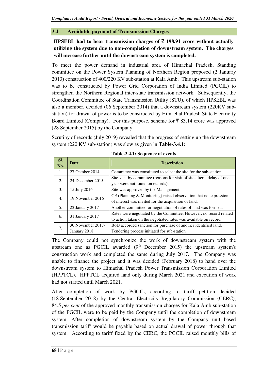#### **3.4 Avoidable payment of Transmission Charges**

**HPSEBL had to bear transmission charges of** ` **198.91 crore without actually utilizing the system due to non-completion of downstream system. The charges will increase further until the downstream system is completed.**

To meet the power demand in industrial area of Himachal Pradesh, Standing committee on the Power System Planning of Northern Region proposed (2 January 2013) construction of 400/220 KV sub-station at Kala Amb. This upstream sub-station was to be constructed by Power Grid Corporation of India Limited (PGCIL) to strengthen the Northern Regional inter-state transmission network. Subsequently, the Coordination Committee of State Transmission Utility (STU), of which HPSEBL was also a member, decided (06 September 2014) that a downstream system (220KV substation) for drawal of power is to be constructed by Himachal Pradesh State Electricity Board Limited (Company). For this purpose, scheme for  $\bar{\mathfrak{g}}$  83.14 crore was approved (28 September 2015) by the Company.

Scrutiny of records (July 2019) revealed that the progress of setting up the downstream system (220 KV sub-station) was slow as given in **Table-3.4.1**:

| SI.<br>No.       | <b>Date</b>                       | <b>Description</b>                                                                                                                     |
|------------------|-----------------------------------|----------------------------------------------------------------------------------------------------------------------------------------|
| 1.               | 27 October 2014                   | Committee was constituted to select the site for the sub-station.                                                                      |
| 2.               | 24 December 2015                  | Site visit by committee (reasons for visit of site after a delay of one<br>year were not found on records).                            |
| 3.               | 15 July 2016                      | Site was approved by the Management.                                                                                                   |
| $\overline{4}$ . | 19 November 2016                  | $CE$ (Planning $&$ Monitoring) raised observation that no expression<br>of interest was invited for the acquisition of land.           |
| 5.               | 22 January 2017                   | Another committee for negotiation of rates of land was formed.                                                                         |
| 6.               | 31 January 2017                   | Rates were negotiated by the Committee. However, no record related<br>to action taken on the negotiated rates was available on record. |
| 7.               | 30 November 2017-<br>January 2018 | BoD accorded sanction for purchase of another identified land.<br>Tendering process initiated for sub-station.                         |

The Company could not synchronize the work of downstream system with the upstream one as PGCIL awarded  $(9<sup>th</sup>$  December 2015) the upstream system's construction work and completed the same during July 2017. The Company was unable to finance the project and it was decided (February 2018) to hand over the downstream system to Himachal Pradesh Power Transmission Corporation Limited (HPPTCL). HPPTCL acquired land only during March 2021 and execution of work had not started until March 2021.

After completion of work by PGCIL, according to tariff petition decided (18 September 2018) by the Central Electricity Regulatory Commission (CERC), 84.5 *per cent* of the approved monthly transmission charges for Kala Amb sub-station of the PGCIL were to be paid by the Company until the completion of downstream system. After completion of downstream system by the Company unit based transmission tariff would be payable based on actual drawal of power through that system. According to tariff fixed by the CERC, the PGCIL raised monthly bills of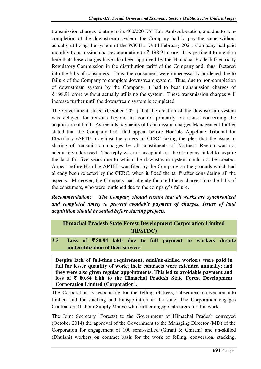transmission charges relating to its 400/220 KV Kala Amb sub-station, and due to noncompletion of the downstream system, the Company had to pay the same without actually utilizing the system of the PGCIL. Until February 2021, Company had paid monthly transmission charges amounting to  $\bar{\tau}$  198.91 crore. It is pertinent to mention here that these charges have also been approved by the Himachal Pradesh Electricity Regulatory Commission in the distribution tariff of the Company and, thus, factored into the bills of consumers. Thus, the consumers were unnecessarily burdened due to failure of the Company to complete downstream system. Thus, due to non-completion of downstream system by the Company, it had to bear transmission charges of  $\bar{\tau}$  198.91 crore without actually utilizing the system. These transmission charges will increase further until the downstream system is completed.

The Government stated (October 2021) that the creation of the downstream system was delayed for reasons beyond its control primarily on issues concerning the acquisition of land. As regards payments of transmission charges Management further stated that the Company had filed appeal before Hon'ble Appellate Tribunal for Electricity (APTEL) against the orders of CERC taking the plea that the issue of sharing of transmission charges by all constituents of Northern Region was not adequately addressed. The reply was not acceptable as the Company failed to acquire the land for five years due to which the downstream system could not be created. Appeal before Hon'ble APTEL was filed by the Company on the grounds which had already been rejected by the CERC, when it fixed the tariff after considering all the aspects. Moreover, the Company had already factored these charges into the bills of the consumers, who were burdened due to the company's failure.

*Recommendation: The Company should ensure that all works are synchronized and completed timely to prevent avoidable payment of charges. Issues of land acquisition should be settled before starting projects.*

## **Himachal Pradesh State Forest Development Corporation Limited (HPSFDC)**

**3.5 Loss of** ` **80.84 lakh due to full payment to workers despite underutilization of their services** 

**Despite lack of full-time requirement, semi/un-skilled workers were paid in full for lesser quantity of work; their contracts were extended annually; and they were also given regular appointments. This led to avoidable payment and loss of** ` **80.84 lakh to the Himachal Pradesh State Forest Development Corporation Limited (Corporation).** 

The Corporation is responsible for the felling of trees, subsequent conversion into timber, and for stacking and transportation in the state. The Corporation engages Contractors (Labour Supply Mates) who further engage labourers for this work.

The Joint Secretary (Forests) to the Government of Himachal Pradesh conveyed (October 2014) the approval of the Government to the Managing Director (MD) of the Corporation for engagement of 100 semi-skilled (Girani & Chirani) and un-skilled (Dhulani) workers on contract basis for the work of felling, conversion, stacking,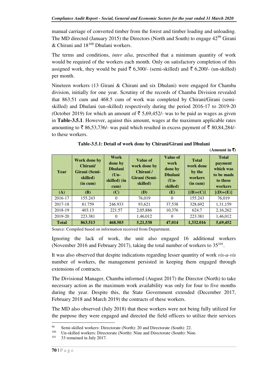manual carriage of converted timber from the forest and timber loading and unloading. The MD directed (January 2015) the Directors (North and South) to engage  $42^{99}$  Girani  $&$  Chirani and  $18^{100}$  Dhulani workers.

The terms and conditions, *inter alia*, prescribed that a minimum quantity of work would be required of the workers each month. Only on satisfactory completion of this assigned work, they would be paid  $\bar{\tau}$  6,300/- (semi-skilled) and  $\bar{\tau}$  6,200/- (un-skilled) per month.

Nineteen workers (13 Girani & Chirani and six Dhulani) were engaged for Chamba division, initially for one year. Scrutiny of the records of Chamba Division revealed that 863.51 cum and 468.5 cum of work was completed by Chirani/Girani (semiskilled) and Dhulani (un-skilled) respectively during the period 2016-17 to 2019-20 (October 2019) for which an amount of  $\overline{5}$  5,69,452/- was to be paid as wages as given in **Table-3.5.1**. However, against this amount, wages at the maximum applicable rates amounting to  $\bar{\tau}$  86,53,736/- was paid which resulted in excess payment of  $\bar{\tau}$  80,84,284/to these workers.

| Year         | <b>Work done by</b><br>Chirani/<br>Girani (Semi-<br>skilled)<br>(in cum) | Work<br>done by<br><b>Dhulani</b><br>$(Un-$<br>skilled) (in<br>cum) | Value of<br>work done by<br>Chirani/<br>Girani (Semi-<br>skilled) | <b>Value of</b><br>work<br>done by<br><b>Dhulani</b><br>$(Un-$<br>skilled) | <b>Total</b><br>work done<br>by the<br>workers<br>(in cum) | <b>Total</b><br>payment<br>which was<br>to be made<br>to these<br>workers |
|--------------|--------------------------------------------------------------------------|---------------------------------------------------------------------|-------------------------------------------------------------------|----------------------------------------------------------------------------|------------------------------------------------------------|---------------------------------------------------------------------------|
| (A)          | <b>(B)</b>                                                               | (C)                                                                 | <b>(D)</b>                                                        | (E)                                                                        | $[(B)+(C)]$                                                | $[(D)+(E)]$                                                               |
| 2016-17      | 155.243                                                                  | $\Omega$                                                            | 76,019                                                            | $\Omega$                                                                   | 155.243                                                    | 76.019                                                                    |
| 2017-18      | 81.759                                                                   | 246.933                                                             | 93,621                                                            | 37,538                                                                     | 328.692                                                    | 1,31,159                                                                  |
| 2018-19      | 403.13                                                                   | 221.57                                                              | 2,05,886                                                          | 10,376                                                                     | 624.7                                                      | 2,16,262                                                                  |
| 2019-20      | 223.381                                                                  | $\Omega$                                                            | 1,46,012                                                          | $\Omega$                                                                   | 223.381                                                    | 1,46,012                                                                  |
| <b>Total</b> | 863.513                                                                  | 468.503                                                             | 5,21,538                                                          | 47.014                                                                     | 1,332.016                                                  | 5,69,452                                                                  |

**Table-3.5.1: Detail of work done by Chirani/Girani and Dhulani** 

**(Amount in** `**)** 

Source: Compiled based on information received from Department.

Ignoring the lack of work, the unit also engaged 16 additional workers (November 2016 and February 2017), taking the total number of workers to  $35^{101}$ .

It was also observed that despite indications regarding lesser quantity of work *vis-a-vis* number of workers, the management persisted in keeping them engaged through extensions of contracts.

The Divisional Manager, Chamba informed (August 2017) the Director (North) to take necessary action as the maximum work availability was only for four to five months during the year. Despite this, the State Government extended (December 2017, February 2018 and March 2019) the contracts of these workers.

The MD also observed (July 2018) that these workers were not being fully utilized for the purpose they were engaged and directed the field officers to utilize their services l

<sup>99</sup> Semi-skilled workers: Directorate (North): 20 and Directorate (South): 22.<br> $\frac{100}{100}$  I. In skilled workers: Directorate (North): Nine and Directorate (South): Nine

<sup>&</sup>lt;sup>100</sup> Un-skilled workers: Directorate (North): Nine and Directorate (South): Nine.<br><sup>101</sup> <sup>22</sup> remained in July 2017

<sup>33</sup> remained in July 2017.